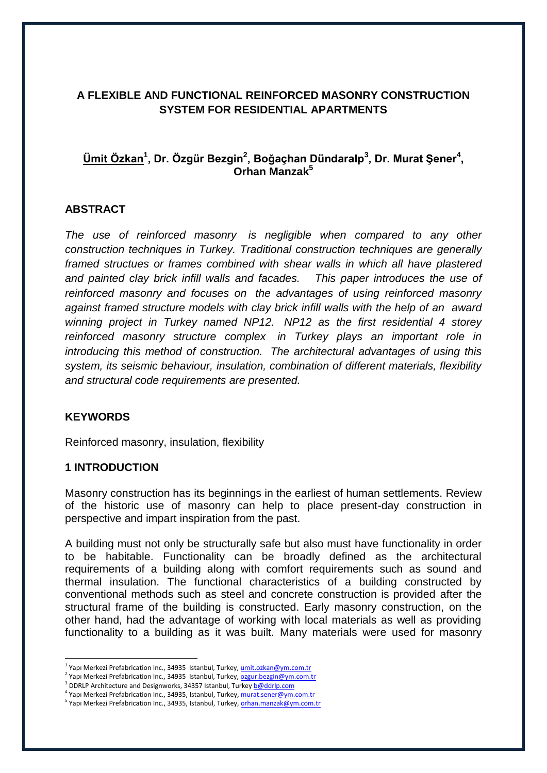# **A FLEXIBLE AND FUNCTIONAL REINFORCED MASONRY CONSTRUCTION SYSTEM FOR RESIDENTIAL APARTMENTS**

# **Ümit Özkan<sup>1</sup> , Dr. Özgür Bezgin<sup>2</sup> , Boğaçhan Dündaralp<sup>3</sup> , Dr. Murat Şener<sup>4</sup> , Orhan Manzak<sup>5</sup>**

## **ABSTRACT**

*The use of reinforced masonry is negligible when compared to any other construction techniques in Turkey. Traditional construction techniques are generally framed structues or frames combined with shear walls in which all have plastered and painted clay brick infill walls and facades. This paper introduces the use of reinforced masonry and focuses on the advantages of using reinforced masonry against framed structure models with clay brick infill walls with the help of an award winning project in Turkey named NP12. NP12 as the first residential 4 storey reinforced masonry structure complex in Turkey plays an important role in introducing this method of construction. The architectural advantages of using this system, its seismic behaviour, insulation, combination of different materials, flexibility and structural code requirements are presented.*

## **KEYWORDS**

1

Reinforced masonry, insulation, flexibility

## **1 INTRODUCTION**

Masonry construction has its beginnings in the earliest of human settlements. Review of the historic use of masonry can help to place present-day construction in perspective and impart inspiration from the past.

A building must not only be structurally safe but also must have functionality in order to be habitable. Functionality can be broadly defined as the architectural requirements of a building along with comfort requirements such as sound and thermal insulation. The functional characteristics of a building constructed by conventional methods such as steel and concrete construction is provided after the structural frame of the building is constructed. Early masonry construction, on the other hand, had the advantage of working with local materials as well as providing functionality to a building as it was built. Many materials were used for masonry

<sup>&</sup>lt;sup>1</sup> Yapı Merkezi Prefabrication Inc., 34935 Istanbul, Turkey, <u>[umit.ozkan@ym.com.tr](mailto:umit.ozkan@ym.com.tr)</u>

<sup>&</sup>lt;sup>2</sup> Yapı Merkezi Prefabrication Inc., 34935 Istanbul, Turkey, <u>[ozgur.bezgin@ym.com.tr](mailto:ozgur.bezgin@ym.com.tr)</u>

<sup>&</sup>lt;sup>3</sup> DDRLP Architecture and Designworks, 34357 Istanbul, Turke[y b@ddrlp.com](mailto:b@ddrlp.com)

<sup>&</sup>lt;sup>4</sup> Yapı Merkezi Prefabrication Inc., 34935, Istanbul, Turkey, <u>[murat.sener@ym.com.tr](mailto:murat.sener@ym.com.tr)</u>

<sup>&</sup>lt;sup>5</sup> Yapı Merkezi Prefabrication Inc., 34935, Istanbul, Turkey, <u>orhan.manzak@ym.com.tr</u>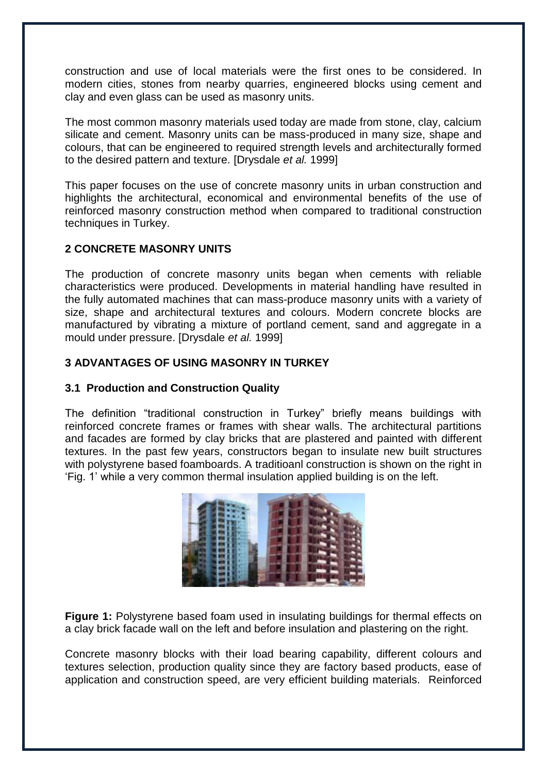construction and use of local materials were the first ones to be considered. In modern cities, stones from nearby quarries, engineered blocks using cement and clay and even glass can be used as masonry units.

The most common masonry materials used today are made from stone, clay, calcium silicate and cement. Masonry units can be mass-produced in many size, shape and colours, that can be engineered to required strength levels and architecturally formed to the desired pattern and texture. [Drysdale *et al.* 1999]

This paper focuses on the use of concrete masonry units in urban construction and highlights the architectural, economical and environmental benefits of the use of reinforced masonry construction method when compared to traditional construction techniques in Turkey.

# **2 CONCRETE MASONRY UNITS**

The production of concrete masonry units began when cements with reliable characteristics were produced. Developments in material handling have resulted in the fully automated machines that can mass-produce masonry units with a variety of size, shape and architectural textures and colours. Modern concrete blocks are manufactured by vibrating a mixture of portland cement, sand and aggregate in a mould under pressure. [Drysdale *et al.* 1999]

# **3 ADVANTAGES OF USING MASONRY IN TURKEY**

## **3.1 Production and Construction Quality**

The definition "traditional construction in Turkey" briefly means buildings with reinforced concrete frames or frames with shear walls. The architectural partitions and facades are formed by clay bricks that are plastered and painted with different textures. In the past few years, constructors began to insulate new built structures with polystyrene based foamboards. A traditioanl construction is shown on the right in "Fig. 1" while a very common thermal insulation applied building is on the left.



**Figure 1:** Polystyrene based foam used in insulating buildings for thermal effects on a clay brick facade wall on the left and before insulation and plastering on the right.

Concrete masonry blocks with their load bearing capability, different colours and textures selection, production quality since they are factory based products, ease of application and construction speed, are very efficient building materials. Reinforced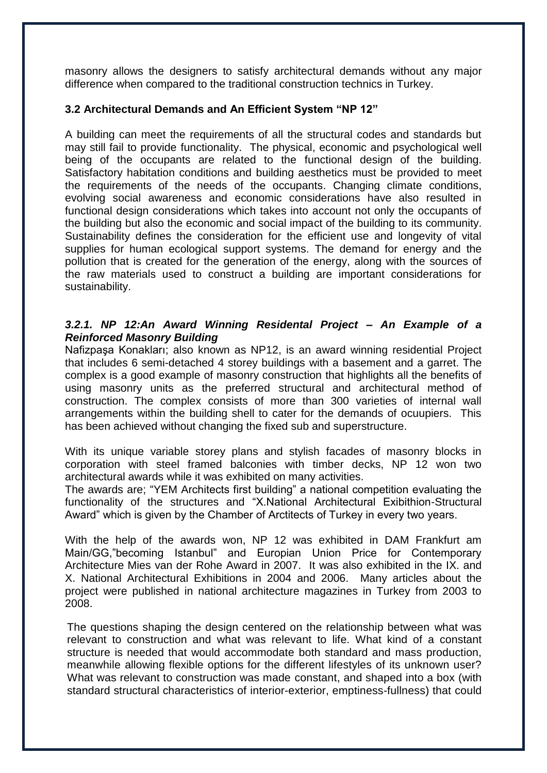masonry allows the designers to satisfy architectural demands without any major difference when compared to the traditional construction technics in Turkey.

# **3.2 Architectural Demands and An Efficient System "NP 12"**

A building can meet the requirements of all the structural codes and standards but may still fail to provide functionality. The physical, economic and psychological well being of the occupants are related to the functional design of the building. Satisfactory habitation conditions and building aesthetics must be provided to meet the requirements of the needs of the occupants. Changing climate conditions, evolving social awareness and economic considerations have also resulted in functional design considerations which takes into account not only the occupants of the building but also the economic and social impact of the building to its community. Sustainability defines the consideration for the efficient use and longevity of vital supplies for human ecological support systems. The demand for energy and the pollution that is created for the generation of the energy, along with the sources of the raw materials used to construct a building are important considerations for sustainability.

## *3.2.1. NP 12:An Award Winning Residental Project – An Example of a Reinforced Masonry Building*

Nafizpaşa Konakları; also known as NP12, is an award winning residential Project that includes 6 semi-detached 4 storey buildings with a basement and a garret. The complex is a good example of masonry construction that highlights all the benefits of using masonry units as the preferred structural and architectural method of construction. The complex consists of more than 300 varieties of internal wall arrangements within the building shell to cater for the demands of ocuupiers. This has been achieved without changing the fixed sub and superstructure.

With its unique variable storey plans and stylish facades of masonry blocks in corporation with steel framed balconies with timber decks, NP 12 won two architectural awards while it was exhibited on many activities.

The awards are; "YEM Architects first building" a national competition evaluating the functionality of the structures and "X.National Architectural Exibithion-Structural Award" which is given by the Chamber of Arctitects of Turkey in every two years.

With the help of the awards won, NP 12 was exhibited in DAM Frankfurt am Main/GG,"becoming Istanbul" and Europian Union Price for Contemporary Architecture Mies van der Rohe Award in 2007. It was also exhibited in the IX. and X. National Architectural Exhibitions in 2004 and 2006. Many articles about the project were published in national architecture magazines in Turkey from 2003 to 2008.

The questions shaping the design centered on the relationship between what was relevant to construction and what was relevant to life. What kind of a constant structure is needed that would accommodate both standard and mass production, meanwhile allowing flexible options for the different lifestyles of its unknown user? What was relevant to construction was made constant, and shaped into a box (with standard structural characteristics of interior-exterior, emptiness-fullness) that could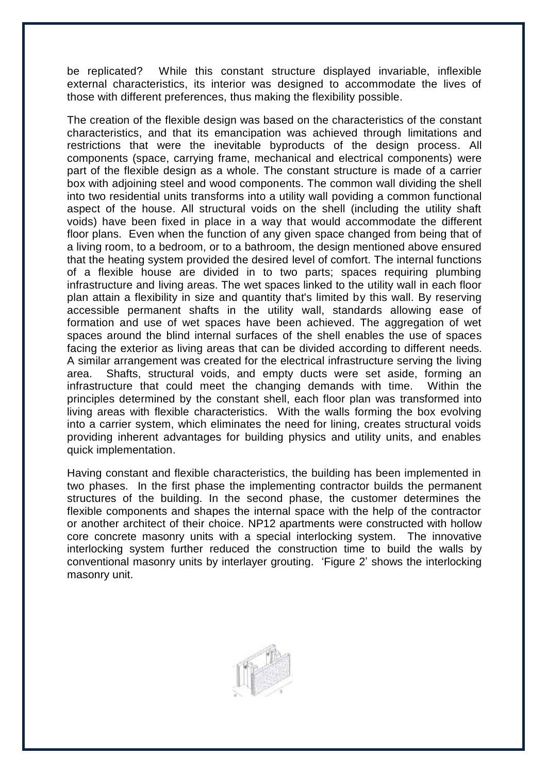be replicated? While this constant structure displayed invariable, inflexible external characteristics, its interior was designed to accommodate the lives of those with different preferences, thus making the flexibility possible.

The creation of the flexible design was based on the characteristics of the constant characteristics, and that its emancipation was achieved through limitations and restrictions that were the inevitable byproducts of the design process. All components (space, carrying frame, mechanical and electrical components) were part of the flexible design as a whole. The constant structure is made of a carrier box with adjoining steel and wood components. The common wall dividing the shell into two residential units transforms into a utility wall poviding a common functional aspect of the house. All structural voids on the shell (including the utility shaft voids) have been fixed in place in a way that would accommodate the different floor plans. Even when the function of any given space changed from being that of a living room, to a bedroom, or to a bathroom, the design mentioned above ensured that the heating system provided the desired level of comfort. The internal functions of a flexible house are divided in to two parts; spaces requiring plumbing infrastructure and living areas. The wet spaces linked to the utility wall in each floor plan attain a flexibility in size and quantity that's limited by this wall. By reserving accessible permanent shafts in the utility wall, standards allowing ease of formation and use of wet spaces have been achieved. The aggregation of wet spaces around the blind internal surfaces of the shell enables the use of spaces facing the exterior as living areas that can be divided according to different needs. A similar arrangement was created for the electrical infrastructure serving the living area. Shafts, structural voids, and empty ducts were set aside, forming an infrastructure that could meet the changing demands with time. Within the principles determined by the constant shell, each floor plan was transformed into living areas with flexible characteristics. With the walls forming the box evolving into a carrier system, which eliminates the need for lining, creates structural voids providing inherent advantages for building physics and utility units, and enables quick implementation.

Having constant and flexible characteristics, the building has been implemented in two phases. In the first phase the implementing contractor builds the permanent structures of the building. In the second phase, the customer determines the flexible components and shapes the internal space with the help of the contractor or another architect of their choice. NP12 apartments were constructed with hollow core concrete masonry units with a special interlocking system. The innovative interlocking system further reduced the construction time to build the walls by conventional masonry units by interlayer grouting. "Figure 2" shows the interlocking masonry unit.

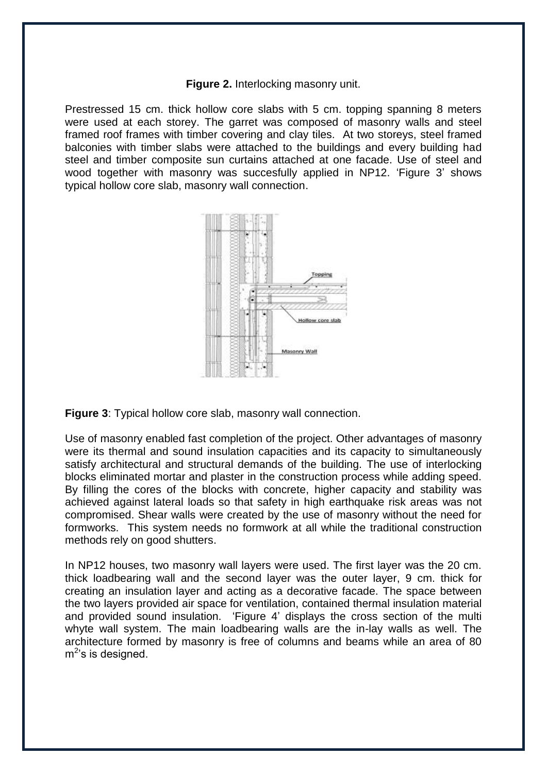#### **Figure 2.** Interlocking masonry unit.

Prestressed 15 cm. thick hollow core slabs with 5 cm. topping spanning 8 meters were used at each storey. The garret was composed of masonry walls and steel framed roof frames with timber covering and clay tiles. At two storeys, steel framed balconies with timber slabs were attached to the buildings and every building had steel and timber composite sun curtains attached at one facade. Use of steel and wood together with masonry was succesfully applied in NP12. "Figure 3" shows typical hollow core slab, masonry wall connection.



**Figure 3**: Typical hollow core slab, masonry wall connection.

Use of masonry enabled fast completion of the project. Other advantages of masonry were its thermal and sound insulation capacities and its capacity to simultaneously satisfy architectural and structural demands of the building. The use of interlocking blocks eliminated mortar and plaster in the construction process while adding speed. By filling the cores of the blocks with concrete, higher capacity and stability was achieved against lateral loads so that safety in high earthquake risk areas was not compromised. Shear walls were created by the use of masonry without the need for formworks. This system needs no formwork at all while the traditional construction methods rely on good shutters.

In NP12 houses, two masonry wall layers were used. The first layer was the 20 cm. thick loadbearing wall and the second layer was the outer layer, 9 cm. thick for creating an insulation layer and acting as a decorative facade. The space between the two layers provided air space for ventilation, contained thermal insulation material and provided sound insulation. "Figure 4" displays the cross section of the multi whyte wall system. The main loadbearing walls are the in-lay walls as well. The architecture formed by masonry is free of columns and beams while an area of 80  $m^2$ 's is designed.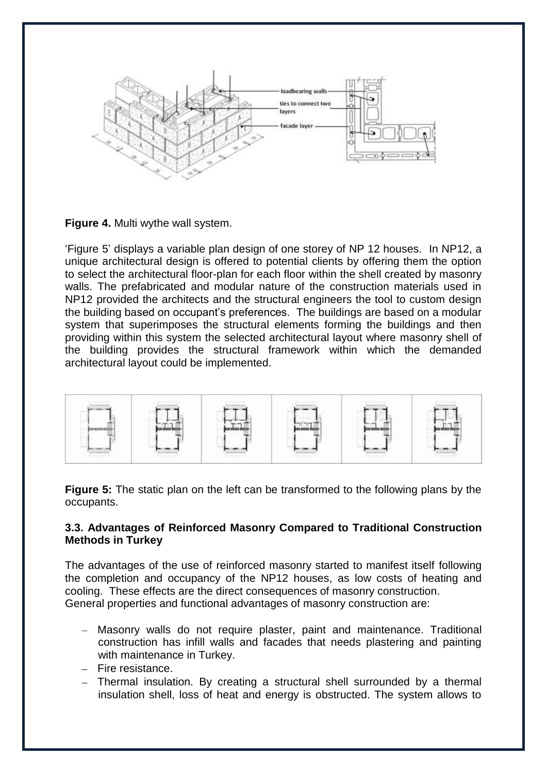

**Figure 4.** Multi wythe wall system.

"Figure 5" displays a variable plan design of one storey of NP 12 houses. In NP12, a unique architectural design is offered to potential clients by offering them the option to select the architectural floor-plan for each floor within the shell created by masonry walls. The prefabricated and modular nature of the construction materials used in NP12 provided the architects and the structural engineers the tool to custom design the building based on occupant"s preferences. The buildings are based on a modular system that superimposes the structural elements forming the buildings and then providing within this system the selected architectural layout where masonry shell of the building provides the structural framework within which the demanded architectural layout could be implemented.



**Figure 5:** The static plan on the left can be transformed to the following plans by the occupants.

## **3.3. Advantages of Reinforced Masonry Compared to Traditional Construction Methods in Turkey**

The advantages of the use of reinforced masonry started to manifest itself following the completion and occupancy of the NP12 houses, as low costs of heating and cooling. These effects are the direct consequences of masonry construction. General properties and functional advantages of masonry construction are:

- Masonry walls do not require plaster, paint and maintenance. Traditional construction has infill walls and facades that needs plastering and painting with maintenance in Turkey.
- $-$  Fire resistance.
- Thermal insulation. By creating a structural shell surrounded by a thermal insulation shell, loss of heat and energy is obstructed. The system allows to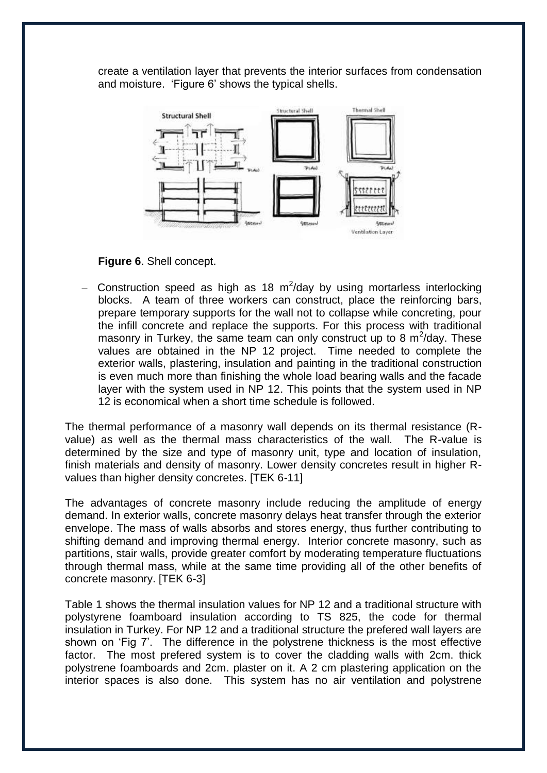create a ventilation layer that prevents the interior surfaces from condensation and moisture. "Figure 6" shows the typical shells.



**Figure 6**. Shell concept.

Construction speed as high as 18  $m^2$ /day by using mortarless interlocking blocks. A team of three workers can construct, place the reinforcing bars, prepare temporary supports for the wall not to collapse while concreting, pour the infill concrete and replace the supports. For this process with traditional masonry in Turkey, the same team can only construct up to 8  $m^2$ /day. These values are obtained in the NP 12 project. Time needed to complete the exterior walls, plastering, insulation and painting in the traditional construction is even much more than finishing the whole load bearing walls and the facade layer with the system used in NP 12. This points that the system used in NP 12 is economical when a short time schedule is followed.

The thermal performance of a masonry wall depends on its thermal resistance (Rvalue) as well as the thermal mass characteristics of the wall. The R-value is determined by the size and type of masonry unit, type and location of insulation, finish materials and density of masonry. Lower density concretes result in higher Rvalues than higher density concretes. **ITEK 6-111** 

The advantages of concrete masonry include reducing the amplitude of energy demand. In exterior walls, concrete masonry delays heat transfer through the exterior envelope. The mass of walls absorbs and stores energy, thus further contributing to shifting demand and improving thermal energy. Interior concrete masonry, such as partitions, stair walls, provide greater comfort by moderating temperature fluctuations through thermal mass, while at the same time providing all of the other benefits of concrete masonry. [TEK 6-3]

Table 1 shows the thermal insulation values for NP 12 and a traditional structure with polystyrene foamboard insulation according to TS 825, the code for thermal insulation in Turkey. For NP 12 and a traditional structure the prefered wall layers are shown on "Fig 7". The difference in the polystrene thickness is the most effective factor. The most prefered system is to cover the cladding walls with 2cm. thick polystrene foamboards and 2cm. plaster on it. A 2 cm plastering application on the interior spaces is also done. This system has no air ventilation and polystrene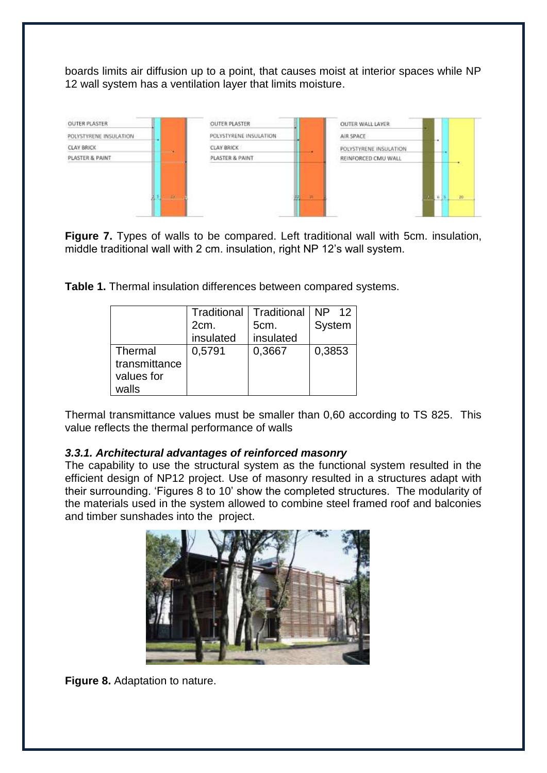boards limits air diffusion up to a point, that causes moist at interior spaces while NP 12 wall system has a ventilation layer that limits moisture.



**Figure 7.** Types of walls to be compared. Left traditional wall with 5cm. insulation, middle traditional wall with 2 cm. insulation, right NP 12"s wall system.

**Table 1.** Thermal insulation differences between compared systems.

|               | <b>Traditional   Traditional</b> |           | NP 12  |
|---------------|----------------------------------|-----------|--------|
|               | 2cm.                             | 5cm.      | System |
|               | insulated                        | insulated |        |
| Thermal       | 0,5791                           | 0,3667    | 0,3853 |
| transmittance |                                  |           |        |
| values for    |                                  |           |        |
| walls         |                                  |           |        |

Thermal transmittance values must be smaller than 0,60 according to TS 825. This value reflects the thermal performance of walls

# *3.3.1. Architectural advantages of reinforced masonry*

The capability to use the structural system as the functional system resulted in the efficient design of NP12 project. Use of masonry resulted in a structures adapt with their surrounding. "Figures 8 to 10" show the completed structures. The modularity of the materials used in the system allowed to combine steel framed roof and balconies and timber sunshades into the project.



**Figure 8.** Adaptation to nature.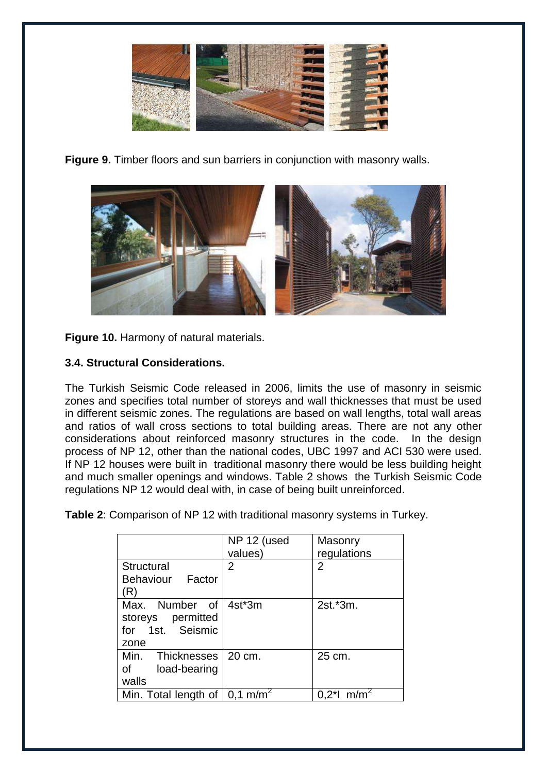

**Figure 9.** Timber floors and sun barriers in conjunction with masonry walls.



**Figure 10.** Harmony of natural materials.

# **3.4. Structural Considerations.**

The Turkish Seismic Code released in 2006, limits the use of masonry in seismic zones and specifies total number of storeys and wall thicknesses that must be used in different seismic zones. The regulations are based on wall lengths, total wall areas and ratios of wall cross sections to total building areas. There are not any other considerations about reinforced masonry structures in the code. In the design process of NP 12, other than the national codes, UBC 1997 and ACI 530 were used. If NP 12 houses were built in traditional masonry there would be less building height and much smaller openings and windows. Table 2 shows the Turkish Seismic Code regulations NP 12 would deal with, in case of being built unreinforced.

**Table 2**: Comparison of NP 12 with traditional masonry systems in Turkey.

|                                                                 | NP 12 (used<br>values) | Masonry<br>regulations    |
|-----------------------------------------------------------------|------------------------|---------------------------|
| Structural<br><b>Behaviour</b><br>Factor<br>'R)                 | $\overline{2}$         | 2                         |
| Max. Number of<br>storeys permitted<br>for 1st. Seismic<br>zone | 4st*3m                 | 2st.*3m.                  |
| Min.<br>Thicknesses I<br>of<br>load-bearing<br>walls            | 20 cm.                 | 25 cm.                    |
| Min. Total length of $\vert$ 0,1 m/m <sup>2</sup>               |                        | $0.2$ *l m/m <sup>2</sup> |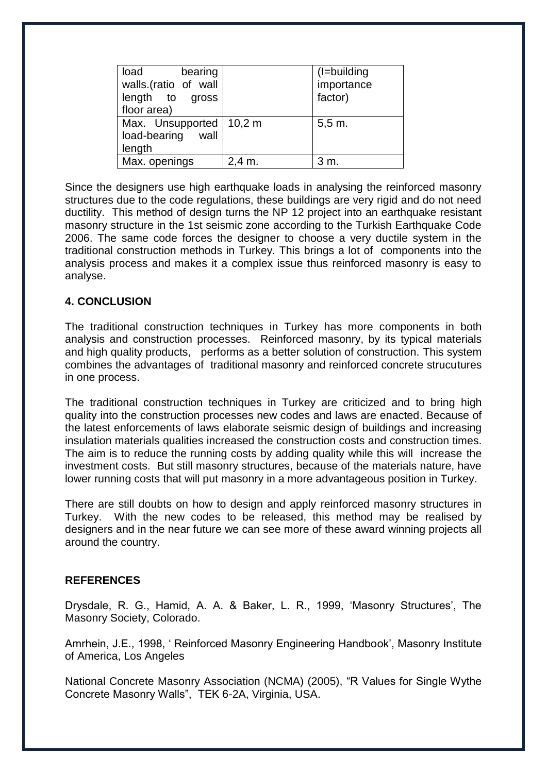| bearing<br>load<br>walls.(ratio of wall<br>length to gross<br>floor area) |          | (I=building<br>importance<br>factor) |
|---------------------------------------------------------------------------|----------|--------------------------------------|
| Max. Unsupported   10,2 m<br>load-bearing<br>wall<br>length               |          | $5,5 \, \text{m}$ .                  |
| Max. openings                                                             | $2,4$ m. | 3 m.                                 |

Since the designers use high earthquake loads in analysing the reinforced masonry structures due to the code regulations, these buildings are very rigid and do not need ductility. This method of design turns the NP 12 project into an earthquake resistant masonry structure in the 1st seismic zone according to the Turkish Earthquake Code 2006. The same code forces the designer to choose a very ductile system in the traditional construction methods in Turkey. This brings a lot of components into the analysis process and makes it a complex issue thus reinforced masonry is easy to analyse.

## **4. CONCLUSION**

The traditional construction techniques in Turkey has more components in both analysis and construction processes. Reinforced masonry, by its typical materials and high quality products, performs as a better solution of construction. This system combines the advantages of traditional masonry and reinforced concrete strucutures in one process.

The traditional construction techniques in Turkey are criticized and to bring high quality into the construction processes new codes and laws are enacted. Because of the latest enforcements of laws elaborate seismic design of buildings and increasing insulation materials qualities increased the construction costs and construction times. The aim is to reduce the running costs by adding quality while this will increase the investment costs. But still masonry structures, because of the materials nature, have lower running costs that will put masonry in a more advantageous position in Turkey.

There are still doubts on how to design and apply reinforced masonry structures in Turkey. With the new codes to be released, this method may be realised by designers and in the near future we can see more of these award winning projects all around the country.

#### **REFERENCES**

Drysdale, R. G., Hamid, A. A. & Baker, L. R., 1999, "Masonry Structures", The Masonry Society, Colorado.

Amrhein, J.E., 1998, " Reinforced Masonry Engineering Handbook", Masonry Institute of America, Los Angeles

National Concrete Masonry Association (NCMA) (2005), "R Values for Single Wythe Concrete Masonry Walls", TEK 6-2A, Virginia, USA.